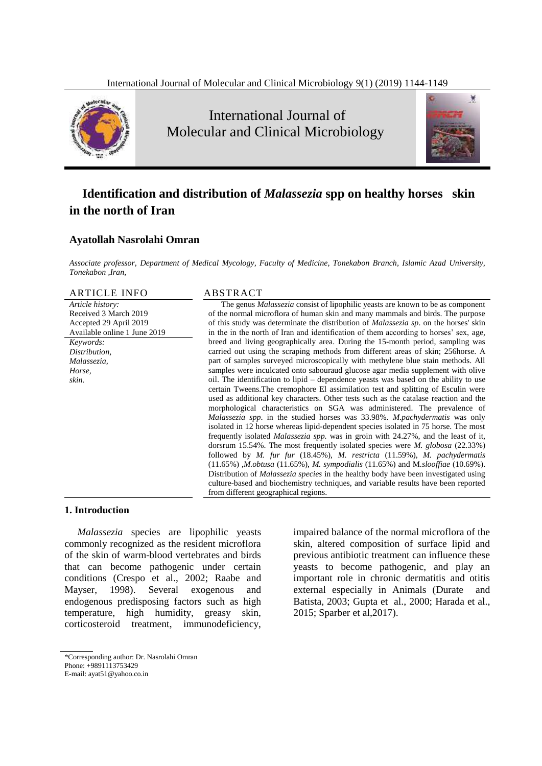

International Journal of Molecular and Clinical Microbiology



# **Identification and distribution of** *Malassezia* **spp on healthy horses skin in the north of Iran**

## **Ayatollah Nasrolahi Omran**

*Associate professor, Department of Medical Mycology, Faculty of Medicine, Tonekabon Branch, Islamic Azad University, Tonekabon ,Iran,* 

ARTICLE INFO ABSTRACT

*Article history:* Received 3 March 2019 Accepted 29 April 2019 Available online 1 June 2019 *Keywords: Distribution, Malassezia, Horse, skin.*

The genus *Malassezia* consist of lipophilic yeasts are known to be as component of the normal microflora of human skin and many mammals and birds. The purpose of this study was determinate the distribution of *Malassezia sp*. on the horses' skin in the in the north of Iran and identification of them according to horses' sex, age, breed and living geographically area. During the 15-month period, sampling was carried out using the scraping methods from different areas of skin; 256horse. A part of samples surveyed microscopically with methylene blue stain methods. All samples were inculcated onto sabouraud glucose agar media supplement with olive oil. The identification to lipid – dependence yeasts was based on the ability to use certain Tweens.The cremophore El assimilation test and splitting of Esculin were used as additional key characters. Other tests such as the catalase reaction and the morphological characteristics on SGA was administered. The prevalence of *Malassezia spp*. in the studied horses was 33.98%. *M.pachydermatis* was only isolated in 12 horse whereas lipid-dependent species isolated in 75 horse. The most frequently isolated *Malassezia spp.* was in groin with 24.27%, and the least of it, dorsrum 15.54%. The most frequently isolated species were *M. globosa* (22.33%) followed by *M. fur fur* (18.45%), *M. restricta* (11.59%), *M. pachydermatis*  (11.65%) ,*M.obtusa* (11.65%), *M. sympodialis* (11.65%) and M*.slooffiae* (10.69%). Distribution of *Malassezia species* in the healthy body have been investigated using culture-based and biochemistry techniques, and variable results have been reported from different geographical regions.

### **1. Introduction**

*Malassezia* species are lipophilic yeasts commonly recognized as the resident microflora of the skin of warm-blood vertebrates and birds that can become pathogenic under certain conditions (Crespo et al., 2002; Raabe and Mayser, 1998). Several exogenous and endogenous predisposing factors such as high temperature, high humidity, greasy skin, corticosteroid treatment, immunodeficiency,

impaired balance of the normal microflora of the skin, altered composition of surface lipid and previous antibiotic treatment can influence these yeasts to become pathogenic, and play an important role in chronic dermatitis and otitis external especially in Animals (Durate and Batista, 2003; Gupta et al., 2000; Harada et al., 2015; Sparber et al,2017).

<sup>\*</sup>Corresponding author: Dr. Nasrolahi Omran

Phone: +9891113753429

E-mail: ayat51@yahoo.co.in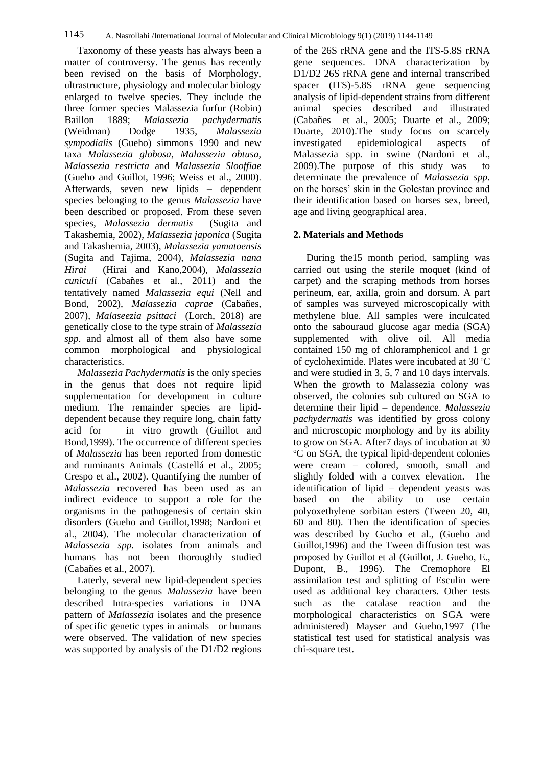Taxonomy of these yeasts has always been a matter of controversy. The genus has recently been revised on the basis of Morphology, ultrastructure, physiology and molecular biology enlarged to twelve species. They include the three former species Malassezia furfur (Robin) Baillon 1889; *Malassezia pachydermatis* (Weidman) Dodge 1935, *Malassezia sympodialis* (Gueho) simmons 1990 and new taxa *Malassezia globosa, Malassezia obtusa, Malassezia restricta* and *Malassezia Slooffiae* (Gueho and Guillot, 1996; Weiss et al., 2000). Afterwards, seven new lipids – dependent species belonging to the genus *Malassezia* have been described or proposed. From these seven species, *Malassezia dermatis* (Sugita and Takashemia, 2002), *Malassezia japonica* (Sugita and Takashemia, 2003), *Malassezia yamatoensis* (Sugita and Tajima, 2004), *Malassezia nana Hirai* (Hirai and Kano,2004), *Malassezia cuniculi* (Cabañes et al., 2011) and the tentatively named *Malassezia equi* (Nell and Bond, 2002), *[Malassezia caprae](https://en.wikipedia.org/wiki/Malassezia_caprae)* (Cabañes, 2007), *Malaseezia psittaci* (Lorch, 2018) are genetically close to the type strain of *Malassezia spp*. and almost all of them also have some common morphological and physiological characteristics.

*Malassezia Pachydermatis* is the only species in the genus that does not require lipid supplementation for development in culture medium. The remainder species are lipiddependent because they require long, chain fatty acid for in vitro growth (Guillot and Bond,1999). The occurrence of different species of *Malassezia* has been reported from domestic and ruminants Animals (Castellá et al., 2005; Crespo et al., 2002). Quantifying the number of *Malassezia* recovered has been used as an indirect evidence to support a role for the organisms in the pathogenesis of certain skin disorders (Gueho and Guillot,1998; Nardoni et al., 2004). The molecular characterization of *Malassezia spp.* isolates from animals and humans has not been thoroughly studied (Cabañes et al., 2007).

Laterly, several new lipid-dependent species belonging to the genus *Malassezia* have been described Intra-species variations in DNA pattern of *Malassezia* isolates and the presence of specific genetic types in animals or humans were observed. The validation of new species was supported by analysis of the D1/D2 regions

of the 26S rRNA gene and the ITS-5.8S rRNA gene sequences. DNA characterization by D1/D2 26S rRNA gene and internal transcribed spacer (ITS)-5.8S rRNA gene sequencing analysis of lipid-dependent strains from different animal species described and illustrated )Cabañes et al., 2005; Duarte et al., 2009; Duarte, 2010). The study focus on scarcely investigated epidemiological aspects of Malassezia spp*.* in swine (Nardoni et al., 2009). The purpose of this study was to determinate the prevalence of *Malassezia spp.*  on the horses' skin in the Golestan province and their identification based on horses sex, breed, age and living geographical area.

## **2. Materials and Methods**

During the15 month period, sampling was carried out using the sterile moquet (kind of carpet) and the scraping methods from horses perineum, ear, axilla, groin and dorsum. A part of samples was surveyed microscopically with methylene blue. All samples were inculcated onto the sabouraud glucose agar media (SGA) supplemented with olive oil. All media contained 150 mg of chloramphenicol and 1 gr of cycloheximide. Plates were incubated at  $30^{\circ}$ C and were studied in 3, 5, 7 and 10 days intervals. When the growth to Malassezia colony was observed, the colonies sub cultured on SGA to determine their lipid – dependence. *Malassezia pachydermatis* was identified by gross colony and microscopic morphology and by its ability to grow on SGA. After7 days of incubation at 30 <sup>o</sup>C on SGA, the typical lipid-dependent colonies were cream – colored, smooth, small and slightly folded with a convex elevation. The identification of lipid – dependent yeasts was based on the ability to use certain polyoxethylene sorbitan esters (Tween 20, 40, 60 and 80). Then the identification of species was described by Gucho et al., (Gueho and Guillot,1996) and the Tween diffusion test was proposed by Guillot et al (Guillot, J. Gueho, E., Dupont, B., 1996). The Cremophore El assimilation test and splitting of Esculin were used as additional key characters. Other tests such as the catalase reaction and the morphological characteristics on SGA were administered) Mayser and Gueho,1997 (The statistical test used for statistical analysis was chi-square test.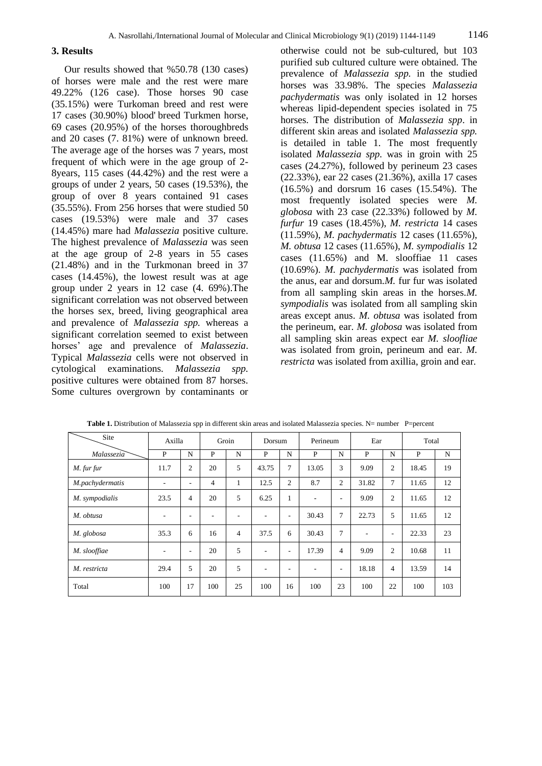#### **3. Results**

Our results showed that %50.78 (130 cases) of horses were male and the rest were mare 49.22% (126 case). Those horses 90 case (35.15%) were Turkoman breed and rest were 17 cases (30.90%) blood' breed Turkmen horse, 69 cases (20.95%) of the horses thoroughbreds and 20 cases (7. 81%) were of unknown breed. The average age of the horses was 7 years, most frequent of which were in the age group of 2- 8years, 115 cases (44.42%) and the rest were a groups of under 2 years, 50 cases (19.53%), the group of over 8 years contained 91 cases (35.55%). From 256 horses that were studied 50 cases (19.53%) were male and 37 cases (14.45%) mare had *Malassezia* positive culture. The highest prevalence of *Malassezia* was seen at the age group of 2-8 years in 55 cases (21.48%) and in the Turkmonan breed in 37 cases (14.45%), the lowest result was at age group under 2 years in 12 case (4. 69%).The significant correlation was not observed between the horses sex, breed, living geographical area and prevalence of *Malassezia spp.* whereas a significant correlation seemed to exist between horses' age and prevalence of *Malassezia*. Typical *Malassezia* cells were not observed in cytological examinations. *Malassezia spp.*  positive cultures were obtained from 87 horses. Some cultures overgrown by contaminants or

otherwise could not be sub-cultured, but 103 purified sub cultured culture were obtained. The prevalence of *Malassezia spp.* in the studied horses was 33.98%. The species *Malassezia pachydermatis* was only isolated in 12 horses whereas lipid-dependent species isolated in 75 horses. The distribution of *Malassezia spp*. in different skin areas and isolated *Malassezia spp.* is detailed in table 1. The most frequently isolated *Malassezia spp.* was in groin with 25 cases (24.27%), followed by perineum 23 cases (22.33%), ear 22 cases (21.36%), axilla 17 cases (16.5%) and dorsrum 16 cases (15.54%). The most frequently isolated species were *M. globosa* with 23 case (22.33%) followed by *M. furfur* 19 cases (18.45%), *M. restricta* 14 cases (11.59%), *M. pachydermatis* 12 cases (11.65%), *M. obtusa* 12 cases (11.65%), *M. sympodialis* 12 cases (11.65%) and M. slooffiae 11 cases (10.69%). *M. pachydermatis* was isolated from the anus, ear and dorsum.*M.* fur fur was isolated from all sampling skin areas in the horses.*M. sympodialis* was isolated from all sampling skin areas except anus. *M. obtusa* was isolated from the perineum, ear. *M. globosa* was isolated from all sampling skin areas expect ear *M. sloofliae* was isolated from groin, perineum and ear. *M. restricta* was isolated from axillia, groin and ear.

| Site            | Axilla |                | Groin          |                | Dorsum       |                | Perineum |                | Ear   |                | Total |     |
|-----------------|--------|----------------|----------------|----------------|--------------|----------------|----------|----------------|-------|----------------|-------|-----|
| Malassezia      | P      | N              | P              | N              | $\mathbf{P}$ | N              | P        | N              | P     | N              | P     | N   |
| M. fur fur      | 11.7   | $\overline{c}$ | 20             | 5              | 43.75        | 7              | 13.05    | 3              | 9.09  | $\overline{c}$ | 18.45 | 19  |
| M.pachydermatis |        | ٠              | $\overline{4}$ | 1              | 12.5         | $\overline{2}$ | 8.7      | 2              | 31.82 | 7              | 11.65 | 12  |
| M. sympodialis  | 23.5   | 4              | 20             | 5              | 6.25         | 1              | ٠        | ٠              | 9.09  | $\overline{c}$ | 11.65 | 12  |
| M. obtusa       |        |                |                |                | ۰            | ۰              | 30.43    | 7              | 22.73 | 5              | 11.65 | 12  |
| M. globosa      | 35.3   | 6              | 16             | $\overline{4}$ | 37.5         | 6              | 30.43    | 7              |       | ۰              | 22.33 | 23  |
| M. slooffiae    |        | ٠              | 20             | 5              | ۰            | ۰              | 17.39    | $\overline{4}$ | 9.09  | $\overline{c}$ | 10.68 | 11  |
| M. restricta    | 29.4   | 5              | 20             | 5              | ٠            | ۰              |          | ٠              | 18.18 | 4              | 13.59 | 14  |
| Total           | 100    | 17             | 100            | 25             | 100          | 16             | 100      | 23             | 100   | 22             | 100   | 103 |

Table 1. Distribution of Malassezia spp in different skin areas and isolated Malassezia species. N= number P=percent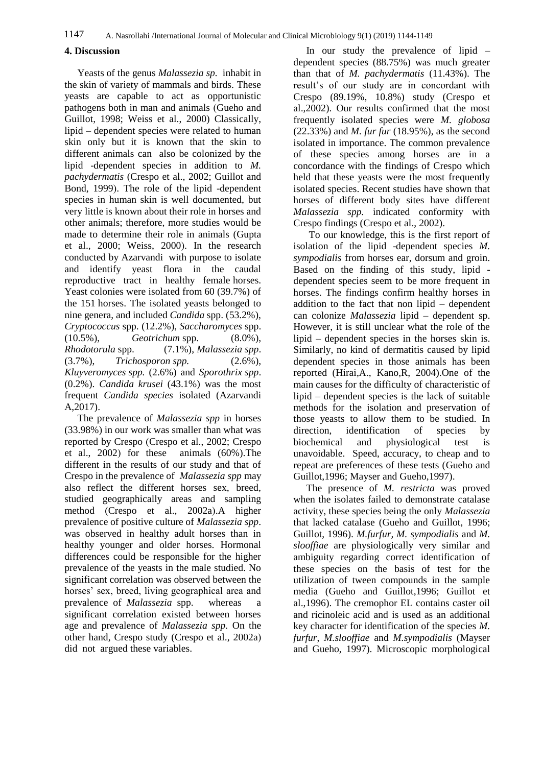## **4. Discussion**

Yeasts of the genus *Malassezia sp.* inhabit in the skin of variety of mammals and birds. These yeasts are capable to act as opportunistic pathogens both in man and animals (Gueho and Guillot, 1998; Weiss et al., 2000) Classically, lipid – dependent species were related to human skin only but it is known that the skin to different animals can also be colonized by the lipid -dependent species in addition to *M. pachydermatis* (Crespo et al., 2002; Guillot and Bond, 1999). The role of the lipid -dependent species in human skin is well documented, but very little is known about their role in horses and other animals; therefore, more studies would be made to determine their role in animals (Gupta et al., 2000; Weiss, 2000). In the research conducted by [Azarvandi](https://www.ncbi.nlm.nih.gov/pubmed/?term=Azarvandi%20A%5BAuthor%5D&cauthor=true&cauthor_uid=27931081) with purpose to isolate and identify yeast flora in the caudal reproductive tract in healthy female horses. Yeast colonies were isolated from 60 (39.7%) of the 151 horses. The isolated yeasts belonged to nine genera, and included *Candida* spp. (53.2%), *Cryptococcus* spp. (12.2%), *Saccharomyces* spp. (10.5%), *Geotrichum* spp. (8.0%), *Rhodotorula* spp. (7.1%), *Malassezia spp*. (3.7%), *Trichosporon spp.* (2.6%), *Kluyveromyces spp.* (2.6%) and *Sporothrix spp*. (0.2%). *Candida krusei* (43.1%) was the most frequent *Candida species* isolated [\(Azarvandi](https://www.ncbi.nlm.nih.gov/pubmed/?term=Azarvandi%20A%5BAuthor%5D&cauthor=true&cauthor_uid=27931081)  [A,](https://www.ncbi.nlm.nih.gov/pubmed/?term=Azarvandi%20A%5BAuthor%5D&cauthor=true&cauthor_uid=27931081)2017).

The prevalence of *Malassezia spp* in horses (33.98%) in our work was smaller than what was reported by Crespo (Crespo et al., 2002; Crespo et al., 2002) for these animals  $(60\%)$ . The different in the results of our study and that of Crespo in the prevalence of *Malassezia spp* may also reflect the different horses sex, breed, studied geographically areas and sampling method (Crespo et al., 2002a).A higher prevalence of positive culture of *Malassezia spp*. was observed in healthy adult horses than in healthy younger and older horses. Hormonal differences could be responsible for the higher prevalence of the yeasts in the male studied. No significant correlation was observed between the horses' sex, breed, living geographical area and prevalence of *Malassezia* spp. whereas a significant correlation existed between horses age and prevalence of *Malassezia spp.* On the other hand, Crespo study (Crespo et al., 2002a) did not argued these variables.

In our study the prevalence of lipid – dependent species (88.75%) was much greater than that of *M. pachydermatis* (11.43%). The result's of our study are in concordant with Crespo (89.19%, 10.8%) study (Crespo et al.,2002). Our results confirmed that the most frequently isolated species were *M. globosa* (22.33%) and *M. fur fur* (18.95%), as the second isolated in importance. The common prevalence of these species among horses are in a concordance with the findings of Crespo which held that these yeasts were the most frequently isolated species. Recent studies have shown that horses of different body sites have different *Malassezia spp.* indicated conformity with Crespo findings (Crespo et al., 2002).

To our knowledge, this is the first report of isolation of the lipid -dependent species *M. sympodialis* from horses ear, dorsum and groin. Based on the finding of this study, lipid dependent species seem to be more frequent in horses. The findings confirm healthy horses in addition to the fact that non lipid – dependent can colonize *Malassezia* lipid – dependent sp. However, it is still unclear what the role of the lipid – dependent species in the horses skin is. Similarly, no kind of dermatitis caused by lipid dependent species in those animals has been reported (Hirai,A., Kano,R, 2004).One of the main causes for the difficulty of characteristic of lipid – dependent species is the lack of suitable methods for the isolation and preservation of those yeasts to allow them to be studied. In direction, identification of species by biochemical and physiological test is unavoidable. Speed, accuracy, to cheap and to repeat are preferences of these tests (Gueho and Guillot,1996; Mayser and Gueho,1997).

The presence of *M. restricta* was proved when the isolates failed to demonstrate catalase activity, these species being the only *Malassezia* that lacked catalase (Gueho and Guillot, 1996; Guillot, 1996). *M.furfur, M. sympodialis* and *M. slooffiae* are physiologically very similar and ambiguity regarding correct identification of these species on the basis of test for the utilization of tween compounds in the sample media (Gueho and Guillot,1996; Guillot et al.,1996). The cremophor EL contains caster oil and ricinoleic acid and is used as an additional key character for identification of the species *M. furfur*, *M.slooffiae* and *M.sympodialis* (Mayser and Gueho, 1997). Microscopic morphological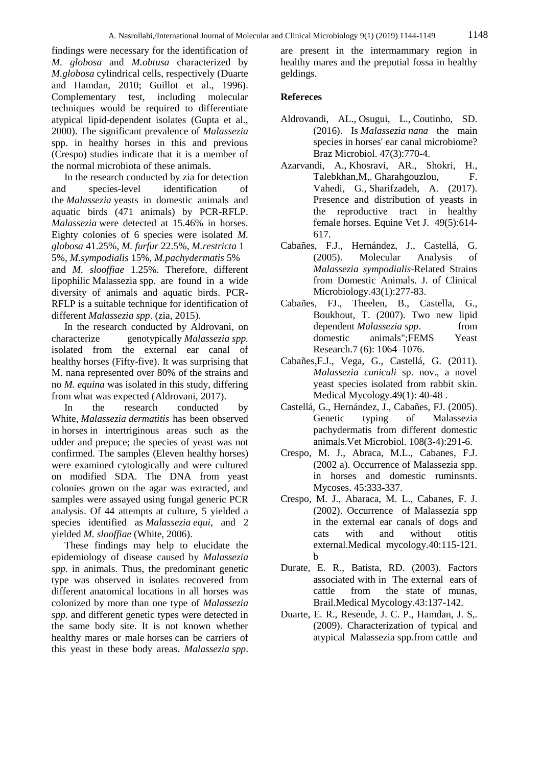findings were necessary for the identification of *M. globosa* and *M.obtusa* characterized by *M.globosa* cylindrical cells, respectively (Duarte and Hamdan, 2010; Guillot et al., 1996). Complementary test, including molecular techniques would be required to differentiate atypical lipid-dependent isolates (Gupta et al., 2000). The significant prevalence of *Malassezia*  spp. in healthy horses in this and previous (Crespo) studies indicate that it is a member of the normal microbiota of these animals.

In the research conducted by zia for detection and species-level identification of the *Malassezia* yeasts in domestic animals and aquatic birds (471 animals) by PCR-RFLP. *Malassezia* were detected at 15.46% in horses. Eighty colonies of 6 species were isolated *M. globosa* 41.25%, *M. furfur* 22.5%, *M.restricta* 1 5%, *M.sympodialis* 15%, *M.pachydermatis* 5% and *M. slooffiae* 1.25%. Therefore, different lipophilic Malassezia spp. are found in a wide diversity of animals and aquatic birds. PCR-RFLP is a suitable technique for identification of different *Malassezia spp*. (zia, 2015).

In the research conducted by Aldrovani, on characterize genotypically *Malassezia spp.* isolated from the external ear canal of healthy horses (Fifty-five). It was surprising that M. nana represented over 80% of the strains and no *M. equina* was isolated in this study, differing from what was expected (Aldrovani, 2017).<br>In the research conducted

In the research conducted by White, *Malassezia dermatitis* has been observed in horses in intertriginous areas such as the udder and prepuce; the species of yeast was not confirmed. The samples (Eleven healthy horses) were examined cytologically and were cultured on modified SDA. The DNA from yeast colonies grown on the agar was extracted, and samples were assayed using fungal generic PCR analysis. Of 44 attempts at culture, 5 yielded a species identified as *Malassezia equi*, and 2 yielded *M. slooffiae* (White, 2006).

These findings may help to elucidate the epidemiology of disease caused by *Malassezia spp.* in animals. Thus, the predominant genetic type was observed in isolates recovered from different anatomical locations in all horses was colonized by more than one type of *Malassezia spp.* and different genetic types were detected in the same body site. It is not known whether healthy mares or male horses can be carriers of this yeast in these body areas. *Malassezia spp*.

are present in the intermammary region in healthy mares and the preputial fossa in healthy geldings.

## **Refereces**

- [Aldrovandi,](https://www.ncbi.nlm.nih.gov/pubmed/?term=Aldrovandi%20AL%5BAuthor%5D&cauthor=true&cauthor_uid=27287335) AL., [Osugui,](https://www.ncbi.nlm.nih.gov/pubmed/?term=Osugui%20L%5BAuthor%5D&cauthor=true&cauthor_uid=27287335) L., [Coutinho,](https://www.ncbi.nlm.nih.gov/pubmed/?term=Acqua%20Coutinho%20SD%5BAuthor%5D&cauthor=true&cauthor_uid=27287335) SD. (2016). Is *Malassezia nana* the main species in horses' ear canal microbiome? [Braz Microbiol.](https://www.ncbi.nlm.nih.gov/pubmed?term=(Isolation%20and%20Identification%20of%20Malassezia%20spp.%20on%20Horse)) 47(3):770-4.
- [Azarvandi,](https://www.ncbi.nlm.nih.gov/pubmed/?term=Azarvandi%20A%5BAuthor%5D&cauthor=true&cauthor_uid=27931081) A., [Khosravi,](https://www.ncbi.nlm.nih.gov/pubmed/?term=Khosravi%20AR%5BAuthor%5D&cauthor=true&cauthor_uid=27931081) AR., [Shokri,](https://www.ncbi.nlm.nih.gov/pubmed/?term=Shokri%20H%5BAuthor%5D&cauthor=true&cauthor_uid=27931081) H., [Talebkhan,M,](https://www.ncbi.nlm.nih.gov/pubmed/?term=Talebkhan%20Garoussi%20M%5BAuthor%5D&cauthor=true&cauthor_uid=27931081). [Gharahgouzlou, F.](https://www.ncbi.nlm.nih.gov/pubmed/?term=Gharahgouzlou%20F%5BAuthor%5D&cauthor=true&cauthor_uid=27931081) [Vahedi,](https://www.ncbi.nlm.nih.gov/pubmed/?term=Vahedi%20G%5BAuthor%5D&cauthor=true&cauthor_uid=27931081) G., [Sharifzadeh,](https://www.ncbi.nlm.nih.gov/pubmed/?term=Sharifzadeh%20A%5BAuthor%5D&cauthor=true&cauthor_uid=27931081) A. (2017). Presence and distribution of yeasts in the reproductive tract in healthy female horses. [Equine Vet J.](https://www.ncbi.nlm.nih.gov/pubmed/27931081) 49(5):614- 617.
- Cabañes, F.J., Hernández, J., Castellá, G. (2005). Molecular Analysis of *Malassezia sympodialis*-Related Strains from Domestic Animals. J. of Clinical Microbiology.43(1):277-83.
- Cabañes, FJ., Theelen, B., Castella, G., Boukhout, T. (2007). Two new lipid dependent *Malassezia spp*. from domestic animals";FEMS Yeast Research.7 (6): 1064–1076.
- [Cabañes,](http://informahealthcare.com/action/doSearch?action=runSearch&type=advanced&result=true&prevSearch=%2Bauthorsfield%3A%28Caba%C3%B1es%2C+F.+J.%29)F.J., [Vega,](http://informahealthcare.com/action/doSearch?action=runSearch&type=advanced&result=true&prevSearch=%2Bauthorsfield%3A%28Vega%2C+S.%29) G., [Castellá,](http://informahealthcare.com/action/doSearch?action=runSearch&type=advanced&result=true&prevSearch=%2Bauthorsfield%3A%28Castell%C3%A1%2C+G.%29) G. (2011). *Malassezia cuniculi* sp. nov., a novel yeast species isolated from rabbit skin. Medical Mycology.49(1): 40-48 .
- [Castellá,](http://www.ncbi.nlm.nih.gov/pubmed?term=%22Castell%C3%A1%20G%22%5BAuthor%5D) G., [Hernández,](http://www.ncbi.nlm.nih.gov/pubmed?term=%22Hern%C3%A1ndez%20JJ%22%5BAuthor%5D) J., [Cabañes,](http://www.ncbi.nlm.nih.gov/pubmed?term=%22Caba%C3%B1es%20FJ%22%5BAuthor%5D) FJ. (2005). Genetic typing of Malassezia pachydermatis from different domestic animals[.Vet Microbiol.](http://www.ncbi.nlm.nih.gov/pubmed/15922521) 108(3-4):291-6.
- Crespo, M. J., Abraca, M.L., Cabanes, F.J. (2002 a). Occurrence of Malassezia spp. in horses and domestic ruminsnts. Mycoses. 45:333-337.
- Crespo, M. J., Abaraca, M. L., Cabanes, F. J. (2002). Occurrence of Malassezia spp in the external ear canals of dogs and cats with and without otitis external.Medical mycology.40:115-121. b
- Durate, E. R., Batista, RD. (2003). Factors associated with in The external ears of cattle from the state of munas, Brail.Medical Mycology.43:137-142.
- Duarte, E. R., Resende, J. C. P., Hamdan, J. S,. (2009). Characterization of typical and atypical Malassezia spp.from cattle and